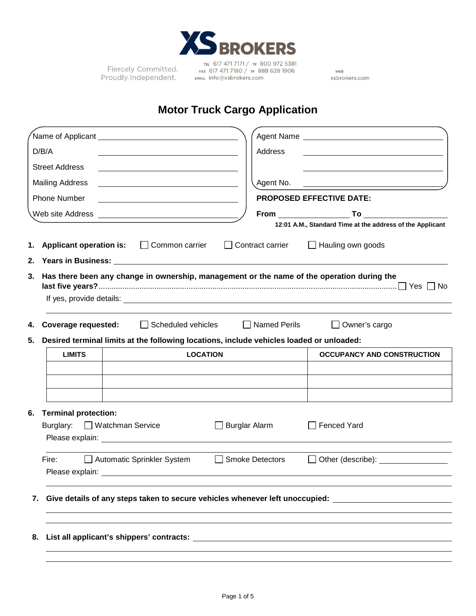

Fiercely Committed. Proudly Independent.

TEL 617 471 7171 / TF 800 972 5381 FAX 617 471 7180 / TF 888 628 1906 EMAIL info@xsbrokers.com

WEB xsbrokers.com

# **Motor Truck Cargo Application**

|    | D/B/A                                                                                                                                                                                                                          |                                                                                                                       |                      | Address                |                                                                                                                       |  |
|----|--------------------------------------------------------------------------------------------------------------------------------------------------------------------------------------------------------------------------------|-----------------------------------------------------------------------------------------------------------------------|----------------------|------------------------|-----------------------------------------------------------------------------------------------------------------------|--|
|    | <b>Street Address</b>                                                                                                                                                                                                          | <u> 1989 - Johann Stein, mars an de Brazilian (b. 1989)</u>                                                           |                      |                        |                                                                                                                       |  |
|    | <b>Mailing Address</b>                                                                                                                                                                                                         |                                                                                                                       |                      | Agent No.              | <u> 1989 - Johann Barbara, martin amerikan basar dan berasal dan berasal dalam basar dalam basar dalam basar dala</u> |  |
|    | <b>Phone Number</b>                                                                                                                                                                                                            | <u> 1989 - Johann Barbara, martin amerikan basar dan berasal dan berasal dalam basar dalam basar dalam basar dala</u> |                      |                        | <b>PROPOSED EFFECTIVE DATE:</b>                                                                                       |  |
|    |                                                                                                                                                                                                                                |                                                                                                                       |                      |                        |                                                                                                                       |  |
|    |                                                                                                                                                                                                                                |                                                                                                                       |                      |                        | 12:01 A.M., Standard Time at the address of the Applicant                                                             |  |
| 1. | <b>Applicant operation is:</b>                                                                                                                                                                                                 | $\Box$ Common carrier                                                                                                 |                      | Contract carrier       | $\Box$ Hauling own goods                                                                                              |  |
| 2. |                                                                                                                                                                                                                                |                                                                                                                       |                      |                        |                                                                                                                       |  |
| 3. |                                                                                                                                                                                                                                |                                                                                                                       |                      |                        | Has there been any change in ownership, management or the name of the operation during the                            |  |
| 4. | <b>Coverage requested:</b>                                                                                                                                                                                                     | Scheduled vehicles                                                                                                    |                      | $\Box$ Named Perils    | $\Box$ Owner's cargo                                                                                                  |  |
| 5. | Desired terminal limits at the following locations, include vehicles loaded or unloaded:                                                                                                                                       |                                                                                                                       |                      |                        |                                                                                                                       |  |
|    |                                                                                                                                                                                                                                |                                                                                                                       |                      |                        |                                                                                                                       |  |
|    | <b>LIMITS</b>                                                                                                                                                                                                                  |                                                                                                                       | <b>LOCATION</b>      |                        | <b>OCCUPANCY AND CONSTRUCTION</b>                                                                                     |  |
|    |                                                                                                                                                                                                                                |                                                                                                                       |                      |                        |                                                                                                                       |  |
|    |                                                                                                                                                                                                                                |                                                                                                                       |                      |                        |                                                                                                                       |  |
|    |                                                                                                                                                                                                                                |                                                                                                                       |                      |                        |                                                                                                                       |  |
|    | <b>Terminal protection:</b><br>Burglary: <b>D</b> Watchman Service                                                                                                                                                             |                                                                                                                       | $\Box$ Burglar Alarm |                        | <b>Fenced Yard</b>                                                                                                    |  |
| 6. | Fire:                                                                                                                                                                                                                          | Automatic Sprinkler System                                                                                            | $\perp$              | <b>Smoke Detectors</b> | Other (describe): <u>contained</u><br>$\perp$                                                                         |  |
|    | Please explain: Note and the set of the set of the set of the set of the set of the set of the set of the set of the set of the set of the set of the set of the set of the set of the set of the set of the set of the set of |                                                                                                                       |                      |                        |                                                                                                                       |  |
| 7. |                                                                                                                                                                                                                                |                                                                                                                       |                      |                        | Give details of any steps taken to secure vehicles whenever left unoccupied: Letting and the state of the state       |  |
|    |                                                                                                                                                                                                                                |                                                                                                                       |                      |                        |                                                                                                                       |  |
|    |                                                                                                                                                                                                                                |                                                                                                                       |                      |                        |                                                                                                                       |  |
| 8. |                                                                                                                                                                                                                                |                                                                                                                       |                      |                        |                                                                                                                       |  |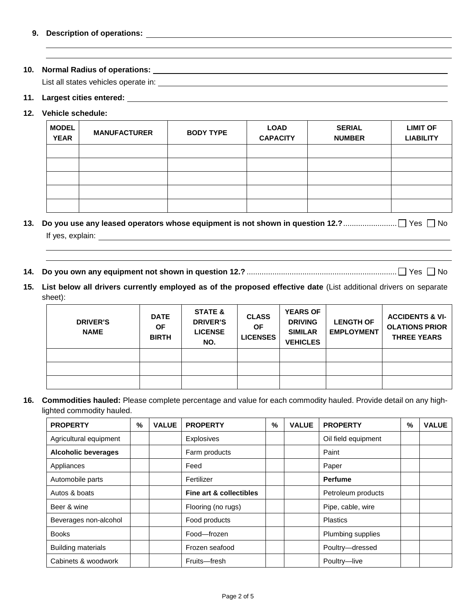# **10. Normal Radius of operations:**

List all states vehicles operate in:

# **11. Largest cities entered:**

# **12. Vehicle schedule:**

| <b>MODEL</b><br><b>YEAR</b> | <b>MANUFACTURER</b> | <b>BODY TYPE</b> | <b>LOAD</b><br><b>CAPACITY</b> | <b>SERIAL</b><br><b>NUMBER</b> | <b>LIMIT OF</b><br><b>LIABILITY</b> |
|-----------------------------|---------------------|------------------|--------------------------------|--------------------------------|-------------------------------------|
|                             |                     |                  |                                |                                |                                     |
|                             |                     |                  |                                |                                |                                     |
|                             |                     |                  |                                |                                |                                     |
|                             |                     |                  |                                |                                |                                     |
|                             |                     |                  |                                |                                |                                     |

**13. Do you use any leased operators whose equipment is not shown in question 12.?**......................... Yes No If yes, explain:

and the control of the control of the control of the control of the control of the control of the control of the

- **14. Do you own any equipment not shown in question 12.?** ...................................................................... Yes No
- **15. List below all drivers currently employed as of the proposed effective date** (List additional drivers on separate sheet):

| <b>DRIVER'S</b><br><b>NAME</b> | <b>DATE</b><br><b>OF</b><br><b>BIRTH</b> | <b>STATE &amp;</b><br><b>DRIVER'S</b><br><b>LICENSE</b><br>NO. | <b>CLASS</b><br><b>OF</b><br><b>LICENSES</b> | <b>YEARS OF</b><br><b>DRIVING</b><br><b>SIMILAR</b><br><b>VEHICLES</b> | <b>LENGTH OF</b><br><b>EMPLOYMENT</b> | <b>ACCIDENTS &amp; VI-</b><br><b>OLATIONS PRIOR</b><br><b>THREE YEARS</b> |
|--------------------------------|------------------------------------------|----------------------------------------------------------------|----------------------------------------------|------------------------------------------------------------------------|---------------------------------------|---------------------------------------------------------------------------|
|                                |                                          |                                                                |                                              |                                                                        |                                       |                                                                           |
|                                |                                          |                                                                |                                              |                                                                        |                                       |                                                                           |
|                                |                                          |                                                                |                                              |                                                                        |                                       |                                                                           |

**16. Commodities hauled:** Please complete percentage and value for each commodity hauled. Provide detail on any highlighted commodity hauled.

| <b>PROPERTY</b>            | % | <b>VALUE</b> | <b>PROPERTY</b>         | % | <b>VALUE</b> | <b>PROPERTY</b>     | % | <b>VALUE</b> |
|----------------------------|---|--------------|-------------------------|---|--------------|---------------------|---|--------------|
| Agricultural equipment     |   |              | <b>Explosives</b>       |   |              | Oil field equipment |   |              |
| <b>Alcoholic beverages</b> |   |              | Farm products           |   |              | Paint               |   |              |
| Appliances                 |   |              | Feed                    |   |              | Paper               |   |              |
| Automobile parts           |   |              | Fertilizer              |   |              | <b>Perfume</b>      |   |              |
| Autos & boats              |   |              | Fine art & collectibles |   |              | Petroleum products  |   |              |
| Beer & wine                |   |              | Flooring (no rugs)      |   |              | Pipe, cable, wire   |   |              |
| Beverages non-alcohol      |   |              | Food products           |   |              | <b>Plastics</b>     |   |              |
| <b>Books</b>               |   |              | Food-frozen             |   |              | Plumbing supplies   |   |              |
| <b>Building materials</b>  |   |              | Frozen seafood          |   |              | Poultry-dressed     |   |              |
| Cabinets & woodwork        |   |              | Fruits-fresh            |   |              | Poultry-live        |   |              |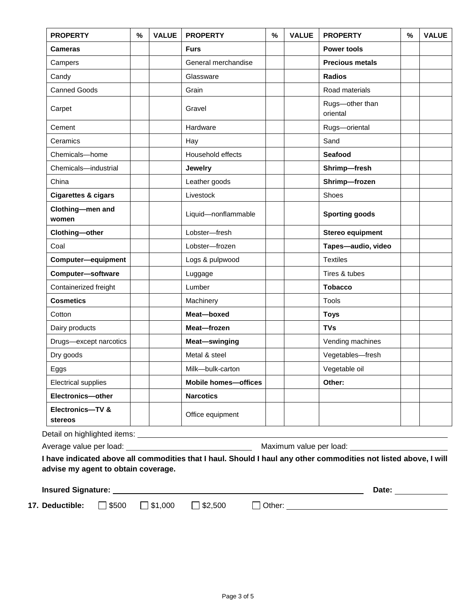| <b>PROPERTY</b>                | % | <b>VALUE</b> | <b>PROPERTY</b>             | % | <b>VALUE</b> | <b>PROPERTY</b>             | % | <b>VALUE</b> |
|--------------------------------|---|--------------|-----------------------------|---|--------------|-----------------------------|---|--------------|
| Cameras                        |   |              | <b>Furs</b>                 |   |              | <b>Power tools</b>          |   |              |
| Campers                        |   |              | General merchandise         |   |              | <b>Precious metals</b>      |   |              |
| Candy                          |   |              | Glassware                   |   |              | <b>Radios</b>               |   |              |
| <b>Canned Goods</b>            |   |              | Grain                       |   |              | Road materials              |   |              |
| Carpet                         |   |              | Gravel                      |   |              | Rugs-other than<br>oriental |   |              |
| Cement                         |   |              | Hardware                    |   |              | Rugs-oriental               |   |              |
| Ceramics                       |   |              | Hay                         |   |              | Sand                        |   |              |
| Chemicals-home                 |   |              | Household effects           |   |              | <b>Seafood</b>              |   |              |
| Chemicals-industrial           |   |              | Jewelry                     |   |              | Shrimp-fresh                |   |              |
| China                          |   |              | Leather goods               |   |              | Shrimp-frozen               |   |              |
| <b>Cigarettes &amp; cigars</b> |   |              | Livestock                   |   |              | <b>Shoes</b>                |   |              |
| Clothing-men and<br>women      |   |              | Liquid-nonflammable         |   |              | <b>Sporting goods</b>       |   |              |
| Clothing-other                 |   |              | Lobster-fresh               |   |              | Stereo equipment            |   |              |
| Coal                           |   |              | Lobster-frozen              |   |              | Tapes-audio, video          |   |              |
| Computer-equipment             |   |              | Logs & pulpwood             |   |              | <b>Textiles</b>             |   |              |
| Computer-software              |   |              | Luggage                     |   |              | Tires & tubes               |   |              |
| Containerized freight          |   |              | Lumber                      |   |              | <b>Tobacco</b>              |   |              |
| <b>Cosmetics</b>               |   |              | Machinery                   |   |              | Tools                       |   |              |
| Cotton                         |   |              | Meat-boxed                  |   |              | <b>Toys</b>                 |   |              |
| Dairy products                 |   |              | Meat-frozen                 |   |              | <b>TVs</b>                  |   |              |
| Drugs-except narcotics         |   |              | Meat-swinging               |   |              | Vending machines            |   |              |
| Dry goods                      |   |              | Metal & steel               |   |              | Vegetables-fresh            |   |              |
| Eggs                           |   |              | Milk-bulk-carton            |   |              | Vegetable oil               |   |              |
| <b>Electrical supplies</b>     |   |              | <b>Mobile homes-offices</b> |   |              | Other:                      |   |              |
| Electronics-other              |   |              | <b>Narcotics</b>            |   |              |                             |   |              |
| Electronics-TV &<br>stereos    |   |              | Office equipment            |   |              |                             |   |              |
|                                |   |              |                             |   |              |                             |   |              |
|                                |   |              |                             |   |              |                             |   |              |

**advise my agent to obtain coverage.**

| <b>Insured Signature:</b> | Jate |  |
|---------------------------|------|--|
|                           |      |  |

**17. Deductible:** □ \$500 □ \$1,000 □ \$2,500 □ Other: \_\_\_\_\_\_\_\_\_\_\_\_\_\_\_\_\_\_\_\_\_\_\_\_\_\_\_\_\_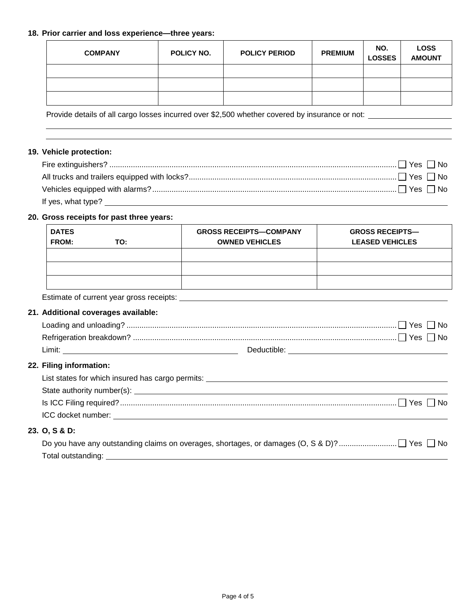## **18. Prior carrier and loss experience—three years:**

| <b>COMPANY</b> | POLICY NO. | <b>POLICY PERIOD</b> | <b>PREMIUM</b> | NO.<br><b>LOSSES</b> | <b>LOSS</b><br><b>AMOUNT</b> |
|----------------|------------|----------------------|----------------|----------------------|------------------------------|
|                |            |                      |                |                      |                              |
|                |            |                      |                |                      |                              |
|                |            |                      |                |                      |                              |

Provide details of all cargo losses incurred over \$2,500 whether covered by insurance or not: \_\_\_\_\_\_\_\_\_\_\_\_\_\_\_

## **19. Vehicle protection:**

# **20. Gross receipts for past three years:**

| <b>DATES</b><br><b>FROM:</b> | TO: | <b>GROSS RECEIPTS-COMPANY</b><br><b>OWNED VEHICLES</b> | <b>GROSS RECEIPTS—</b><br><b>LEASED VEHICLES</b> |
|------------------------------|-----|--------------------------------------------------------|--------------------------------------------------|
|                              |     |                                                        |                                                  |
|                              |     |                                                        |                                                  |
|                              |     |                                                        |                                                  |

Estimate of current year gross receipts:

# **21. Additional coverages available:**

| Limit: | Deductible: |
|--------|-------------|

# **22. Filing information:**

| List states for which insured has cargo permits:                                                                                                                                                                               |
|--------------------------------------------------------------------------------------------------------------------------------------------------------------------------------------------------------------------------------|
|                                                                                                                                                                                                                                |
|                                                                                                                                                                                                                                |
| ICC docket number: The contract of the contract of the contract of the contract of the contract of the contract of the contract of the contract of the contract of the contract of the contract of the contract of the contrac |

# **23. O, S & D:**

| Total outstanding: |  |
|--------------------|--|